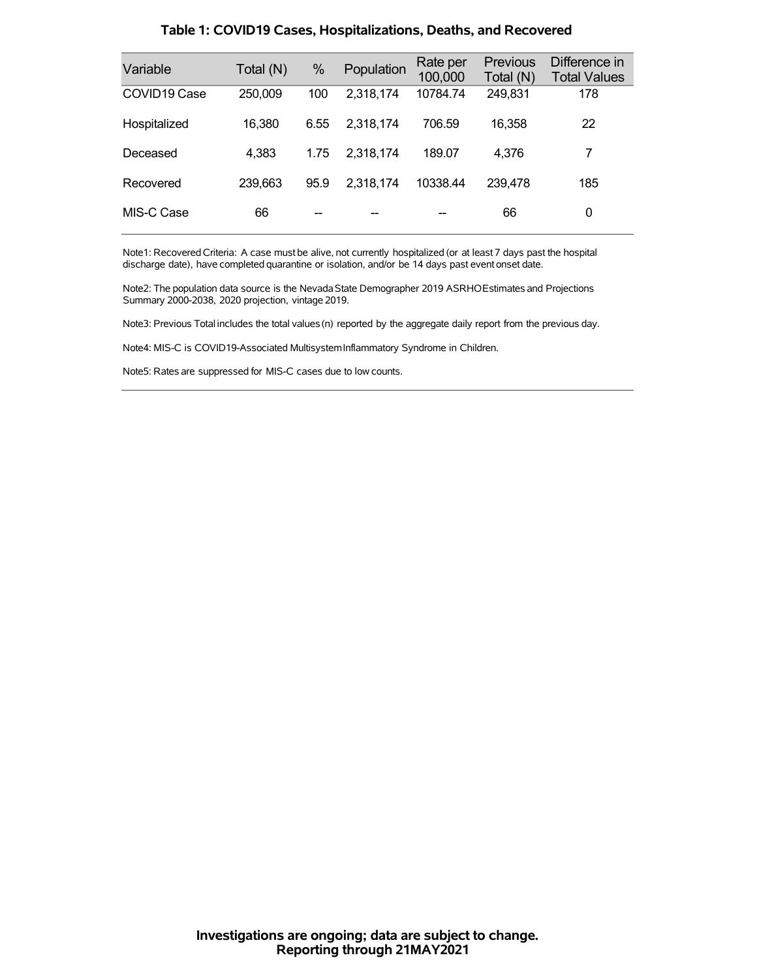| Variable     | Total (N) | %    | Population | Rate per<br>100,000 | <b>Previous</b><br>Total (N) | Difference in<br><b>Total Values</b> |
|--------------|-----------|------|------------|---------------------|------------------------------|--------------------------------------|
| COVID19 Case | 250,009   | 100  | 2,318,174  | 10784.74            | 249,831                      | 178                                  |
| Hospitalized | 16,380    | 6.55 | 2,318,174  | 706.59              | 16,358                       | 22                                   |
| Deceased     | 4,383     | 1.75 | 2,318,174  | 189.07              | 4.376                        | 7                                    |
| Recovered    | 239,663   | 95.9 | 2,318,174  | 10338.44            | 239,478                      | 185                                  |
| MIS-C Case   | 66        |      |            |                     | 66                           | 0                                    |

### **Table 1: COVID19 Cases, Hospitalizations, Deaths, and Recovered**

Note1: Recovered Criteria: A case must be alive, not currently hospitalized (or at least 7 days past the hospital discharge date), have completed quarantine or isolation, and/or be 14 days past event onset date.

Note2: The population data source is the Nevada State Demographer 2019 ASRHOEstimates and Projections Summary 2000-2038, 2020 projection, vintage 2019.

Note3: Previous Total includes the total values(n) reported by the aggregate daily report from the previous day.

Note4: MIS-C is COVID19-Associated MultisystemInflammatory Syndrome in Children.

Note5: Rates are suppressed for MIS-C cases due to low counts.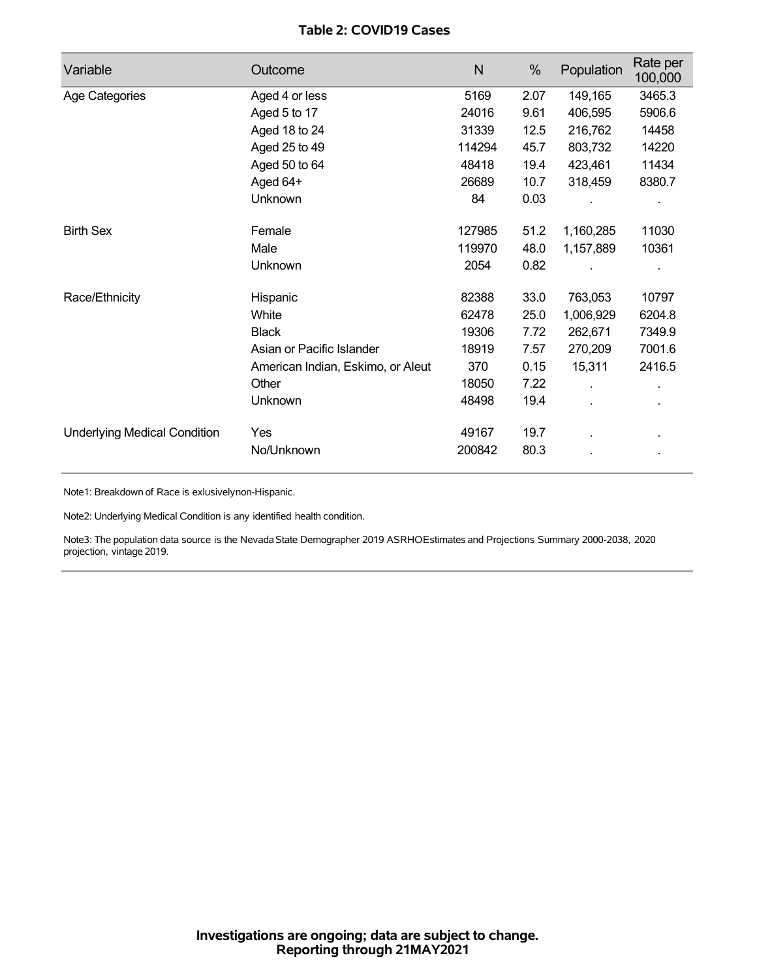## **Table 2: COVID19 Cases**

| Variable                            | Outcome                           | N      | %    | Population | Rate per<br>100,000 |
|-------------------------------------|-----------------------------------|--------|------|------------|---------------------|
| Age Categories                      | Aged 4 or less                    | 5169   | 2.07 | 149,165    | 3465.3              |
|                                     | Aged 5 to 17                      | 24016  | 9.61 | 406,595    | 5906.6              |
|                                     | Aged 18 to 24                     | 31339  | 12.5 | 216,762    | 14458               |
|                                     | Aged 25 to 49                     | 114294 | 45.7 | 803,732    | 14220               |
|                                     | Aged 50 to 64                     | 48418  | 19.4 | 423,461    | 11434               |
|                                     | Aged 64+                          | 26689  | 10.7 | 318,459    | 8380.7              |
|                                     | Unknown                           | 84     | 0.03 |            |                     |
| <b>Birth Sex</b>                    | Female                            | 127985 | 51.2 | 1,160,285  | 11030               |
|                                     | Male                              | 119970 | 48.0 | 1,157,889  | 10361               |
|                                     | Unknown                           | 2054   | 0.82 |            |                     |
| Race/Ethnicity                      | Hispanic                          | 82388  | 33.0 | 763,053    | 10797               |
|                                     | White                             | 62478  | 25.0 | 1,006,929  | 6204.8              |
|                                     | <b>Black</b>                      | 19306  | 7.72 | 262,671    | 7349.9              |
|                                     | Asian or Pacific Islander         | 18919  | 7.57 | 270,209    | 7001.6              |
|                                     | American Indian, Eskimo, or Aleut | 370    | 0.15 | 15,311     | 2416.5              |
|                                     | Other                             | 18050  | 7.22 |            |                     |
|                                     | Unknown                           | 48498  | 19.4 |            |                     |
| <b>Underlying Medical Condition</b> | Yes                               | 49167  | 19.7 |            |                     |
|                                     | No/Unknown                        | 200842 | 80.3 |            |                     |

Note1: Breakdown of Race is exlusivelynon-Hispanic.

Note2: Underlying Medical Condition is any identified health condition.

Note3: The population data source is the NevadaState Demographer 2019 ASRHOEstimates and Projections Summary 2000-2038, 2020 projection, vintage 2019.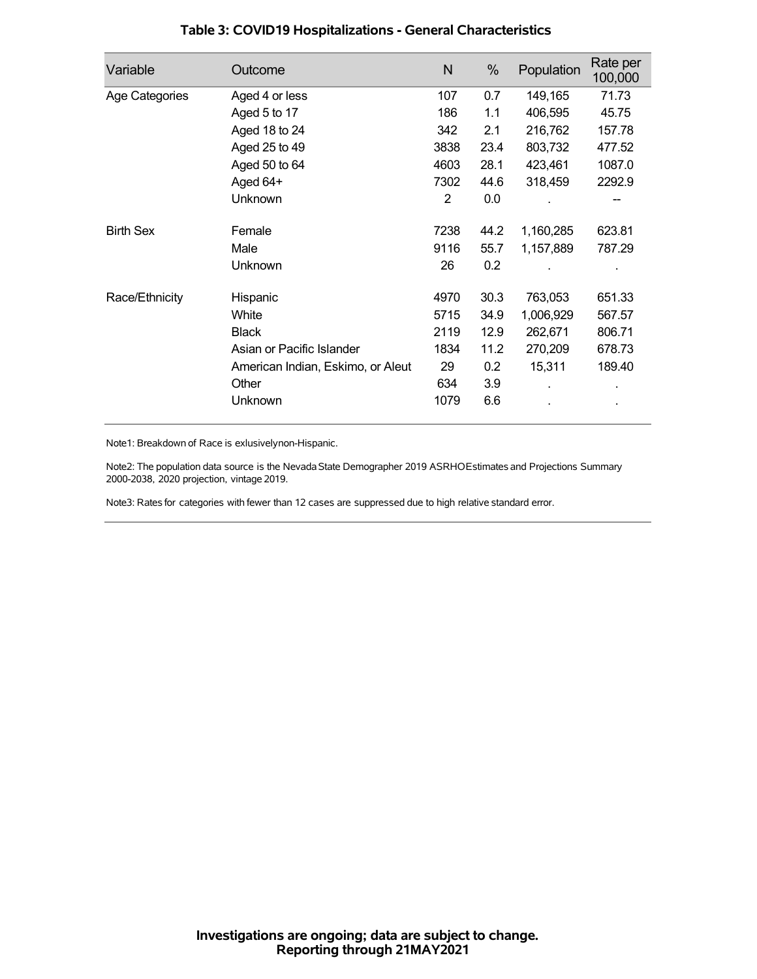| Variable         | Outcome                           | N    | %    | Population | Rate per<br>100,000 |
|------------------|-----------------------------------|------|------|------------|---------------------|
| Age Categories   | Aged 4 or less                    | 107  | 0.7  | 149,165    | 71.73               |
|                  | Aged 5 to 17                      | 186  | 1.1  | 406,595    | 45.75               |
|                  | Aged 18 to 24                     | 342  | 2.1  | 216,762    | 157.78              |
|                  | Aged 25 to 49                     | 3838 | 23.4 | 803,732    | 477.52              |
|                  | Aged 50 to 64                     | 4603 | 28.1 | 423,461    | 1087.0              |
|                  | Aged 64+                          | 7302 | 44.6 | 318,459    | 2292.9              |
|                  | Unknown                           | 2    | 0.0  |            |                     |
| <b>Birth Sex</b> | Female                            | 7238 | 44.2 | 1,160,285  | 623.81              |
|                  | Male                              | 9116 | 55.7 | 1,157,889  | 787.29              |
|                  | <b>Unknown</b>                    | 26   | 0.2  |            |                     |
| Race/Ethnicity   | Hispanic                          | 4970 | 30.3 | 763,053    | 651.33              |
|                  | White                             | 5715 | 34.9 | 1,006,929  | 567.57              |
|                  | <b>Black</b>                      | 2119 | 12.9 | 262,671    | 806.71              |
|                  | Asian or Pacific Islander         | 1834 | 11.2 | 270,209    | 678.73              |
|                  | American Indian, Eskimo, or Aleut | 29   | 0.2  | 15,311     | 189.40              |
|                  | Other                             | 634  | 3.9  |            |                     |
|                  | Unknown                           | 1079 | 6.6  |            |                     |

## **Table 3: COVID19 Hospitalizations - General Characteristics**

Note1: Breakdown of Race is exlusivelynon-Hispanic.

Note2: The population data source is the Nevada State Demographer 2019 ASRHOEstimates and Projections Summary 2000-2038, 2020 projection, vintage 2019.

Note3: Rates for categories with fewer than 12 cases are suppressed due to high relative standard error.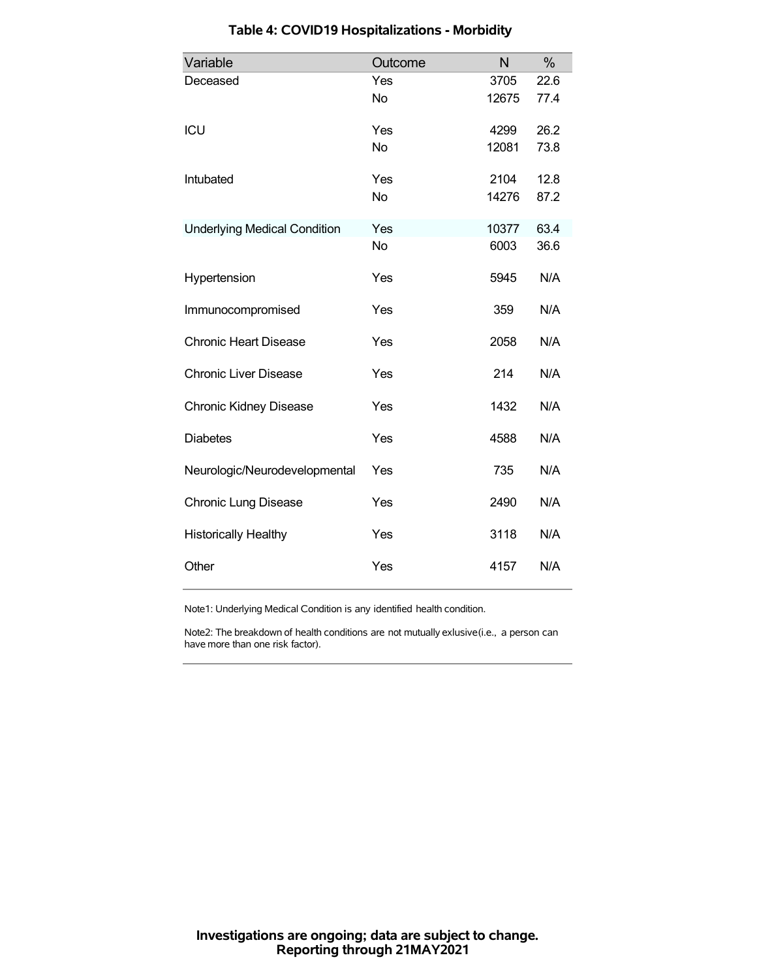| Variable                            | Outcome   | N     | %    |
|-------------------------------------|-----------|-------|------|
| Deceased                            | Yes       | 3705  | 22.6 |
|                                     | <b>No</b> | 12675 | 77.4 |
| ICU                                 | Yes       | 4299  | 26.2 |
|                                     | <b>No</b> | 12081 | 73.8 |
| Intubated                           | Yes       | 2104  | 12.8 |
|                                     | <b>No</b> | 14276 | 87.2 |
| <b>Underlying Medical Condition</b> | Yes       | 10377 | 63.4 |
|                                     | <b>No</b> | 6003  | 36.6 |
| Hypertension                        | Yes       | 5945  | N/A  |
| Immunocompromised                   | Yes       | 359   | N/A  |
| <b>Chronic Heart Disease</b>        | Yes       | 2058  | N/A  |
| <b>Chronic Liver Disease</b>        | Yes       | 214   | N/A  |
| <b>Chronic Kidney Disease</b>       | Yes       | 1432  | N/A  |
| <b>Diabetes</b>                     | Yes       | 4588  | N/A  |
| Neurologic/Neurodevelopmental       | Yes       | 735   | N/A  |
| <b>Chronic Lung Disease</b>         | Yes       | 2490  | N/A  |
| <b>Historically Healthy</b>         | Yes       | 3118  | N/A  |
| Other                               | Yes       | 4157  | N/A  |

# **Table 4: COVID19 Hospitalizations - Morbidity**

Note1: Underlying Medical Condition is any identified health condition.

Note2: The breakdown of health conditions are not mutually exlusive(i.e., a person can have more than one risk factor).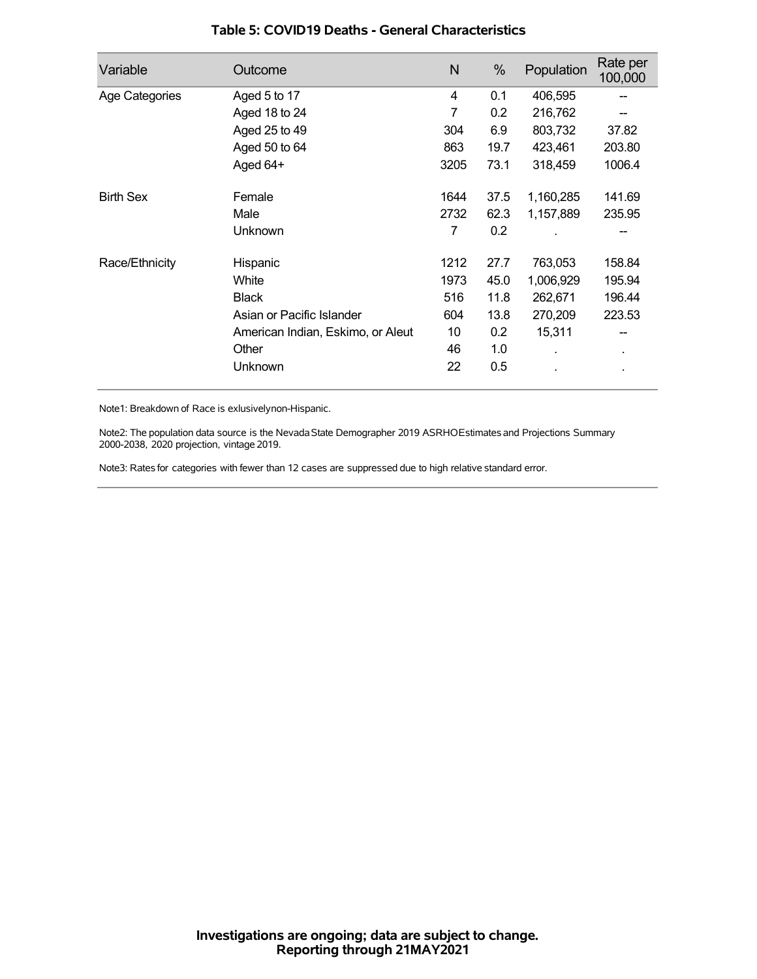| Variable         | Outcome                           | N    | %    | Population | Rate per<br>100,000 |
|------------------|-----------------------------------|------|------|------------|---------------------|
| Age Categories   | Aged 5 to 17                      | 4    | 0.1  | 406,595    |                     |
|                  | Aged 18 to 24                     | 7    | 0.2  | 216,762    |                     |
|                  | Aged 25 to 49                     | 304  | 6.9  | 803,732    | 37.82               |
|                  | Aged 50 to 64                     | 863  | 19.7 | 423,461    | 203.80              |
|                  | Aged 64+                          | 3205 | 73.1 | 318,459    | 1006.4              |
| <b>Birth Sex</b> | Female                            | 1644 | 37.5 | 1,160,285  | 141.69              |
|                  | Male                              | 2732 | 62.3 | 1,157,889  | 235.95              |
|                  | Unknown                           | 7    | 0.2  |            |                     |
| Race/Ethnicity   | Hispanic                          | 1212 | 27.7 | 763,053    | 158.84              |
|                  | White                             | 1973 | 45.0 | 1,006,929  | 195.94              |
|                  | <b>Black</b>                      | 516  | 11.8 | 262,671    | 196.44              |
|                  | Asian or Pacific Islander         | 604  | 13.8 | 270,209    | 223.53              |
|                  | American Indian, Eskimo, or Aleut | 10   | 0.2  | 15,311     |                     |
|                  | Other                             | 46   | 1.0  |            | $\blacksquare$      |
|                  | Unknown                           | 22   | 0.5  |            |                     |

### **Table 5: COVID19 Deaths - General Characteristics**

Note1: Breakdown of Race is exlusivelynon-Hispanic.

Note2: The population data source is the Nevada State Demographer 2019 ASRHOEstimates and Projections Summary 2000-2038, 2020 projection, vintage 2019.

Note3: Rates for categories with fewer than 12 cases are suppressed due to high relative standard error.